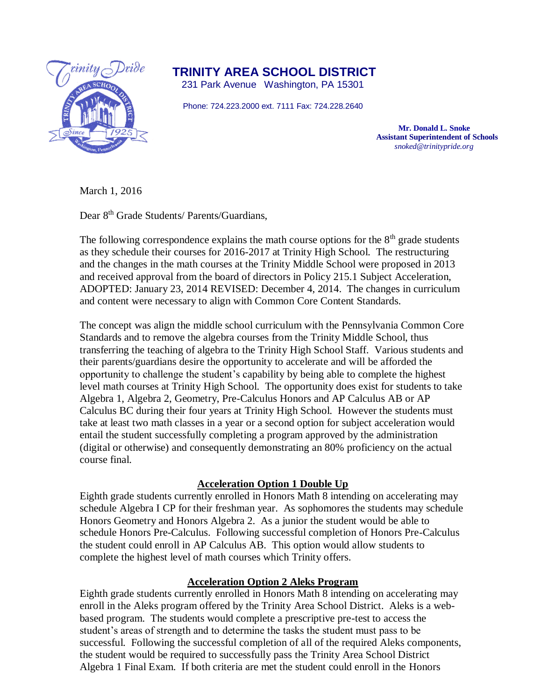

**TRINITY AREA SCHOOL DISTRICT**

231 Park Avenue Washington, PA 15301

Phone: 724.223.2000 ext. 7111 Fax: 724.228.2640

 **Mr. Donald L. Snoke Assistant Superintendent of Schools**  *snoked@trinitypride.org*

March 1, 2016

Dear 8<sup>th</sup> Grade Students/ Parents/Guardians,

The following correspondence explains the math course options for the  $8<sup>th</sup>$  grade students as they schedule their courses for 2016-2017 at Trinity High School. The restructuring and the changes in the math courses at the Trinity Middle School were proposed in 2013 and received approval from the board of directors in Policy 215.1 Subject Acceleration, ADOPTED: January 23, 2014 REVISED: December 4, 2014. The changes in curriculum and content were necessary to align with Common Core Content Standards.

The concept was align the middle school curriculum with the Pennsylvania Common Core Standards and to remove the algebra courses from the Trinity Middle School, thus transferring the teaching of algebra to the Trinity High School Staff. Various students and their parents/guardians desire the opportunity to accelerate and will be afforded the opportunity to challenge the student's capability by being able to complete the highest level math courses at Trinity High School. The opportunity does exist for students to take Algebra 1, Algebra 2, Geometry, Pre-Calculus Honors and AP Calculus AB or AP Calculus BC during their four years at Trinity High School. However the students must take at least two math classes in a year or a second option for subject acceleration would entail the student successfully completing a program approved by the administration (digital or otherwise) and consequently demonstrating an 80% proficiency on the actual course final.

## **Acceleration Option 1 Double Up**

Eighth grade students currently enrolled in Honors Math 8 intending on accelerating may schedule Algebra I CP for their freshman year. As sophomores the students may schedule Honors Geometry and Honors Algebra 2. As a junior the student would be able to schedule Honors Pre-Calculus. Following successful completion of Honors Pre-Calculus the student could enroll in AP Calculus AB. This option would allow students to complete the highest level of math courses which Trinity offers.

## **Acceleration Option 2 Aleks Program**

Eighth grade students currently enrolled in Honors Math 8 intending on accelerating may enroll in the Aleks program offered by the Trinity Area School District. Aleks is a webbased program. The students would complete a prescriptive pre-test to access the student's areas of strength and to determine the tasks the student must pass to be successful. Following the successful completion of all of the required Aleks components, the student would be required to successfully pass the Trinity Area School District Algebra 1 Final Exam. If both criteria are met the student could enroll in the Honors